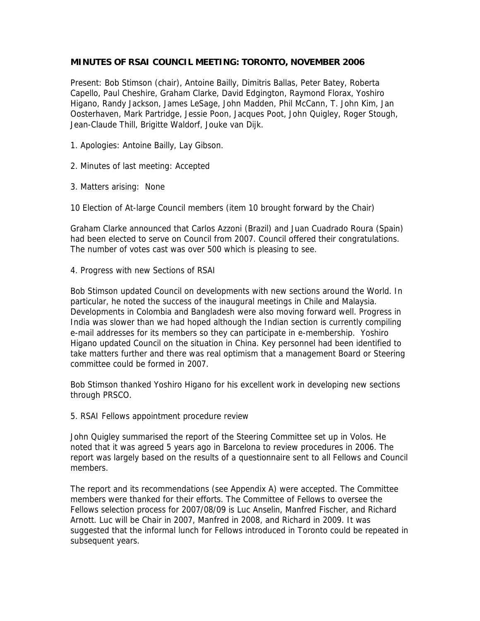## **MINUTES OF RSAI COUNCIL MEETING: TORONTO, NOVEMBER 2006**

Present: Bob Stimson (chair), Antoine Bailly, Dimitris Ballas, Peter Batey, Roberta Capello, Paul Cheshire, Graham Clarke, David Edgington, Raymond Florax, Yoshiro Higano, Randy Jackson, James LeSage, John Madden, Phil McCann, T. John Kim, Jan Oosterhaven, Mark Partridge, Jessie Poon, Jacques Poot, John Quigley, Roger Stough, Jean-Claude Thill, Brigitte Waldorf, Jouke van Dijk.

- 1. Apologies: Antoine Bailly, Lay Gibson.
- 2. Minutes of last meeting: Accepted
- 3. Matters arising: None

10 Election of At-large Council members (item 10 brought forward by the Chair)

Graham Clarke announced that Carlos Azzoni (Brazil) and Juan Cuadrado Roura (Spain) had been elected to serve on Council from 2007. Council offered their congratulations. The number of votes cast was over 500 which is pleasing to see.

4. Progress with new Sections of RSAI

Bob Stimson updated Council on developments with new sections around the World. In particular, he noted the success of the inaugural meetings in Chile and Malaysia. Developments in Colombia and Bangladesh were also moving forward well. Progress in India was slower than we had hoped although the Indian section is currently compiling e-mail addresses for its members so they can participate in e-membership. Yoshiro Higano updated Council on the situation in China. Key personnel had been identified to take matters further and there was real optimism that a management Board or Steering committee could be formed in 2007.

Bob Stimson thanked Yoshiro Higano for his excellent work in developing new sections through PRSCO.

5. RSAI Fellows appointment procedure review

John Quigley summarised the report of the Steering Committee set up in Volos. He noted that it was agreed 5 years ago in Barcelona to review procedures in 2006. The report was largely based on the results of a questionnaire sent to all Fellows and Council members.

The report and its recommendations (see Appendix A) were accepted. The Committee members were thanked for their efforts. The Committee of Fellows to oversee the Fellows selection process for 2007/08/09 is Luc Anselin, Manfred Fischer, and Richard Arnott. Luc will be Chair in 2007, Manfred in 2008, and Richard in 2009. It was suggested that the informal lunch for Fellows introduced in Toronto could be repeated in subsequent years.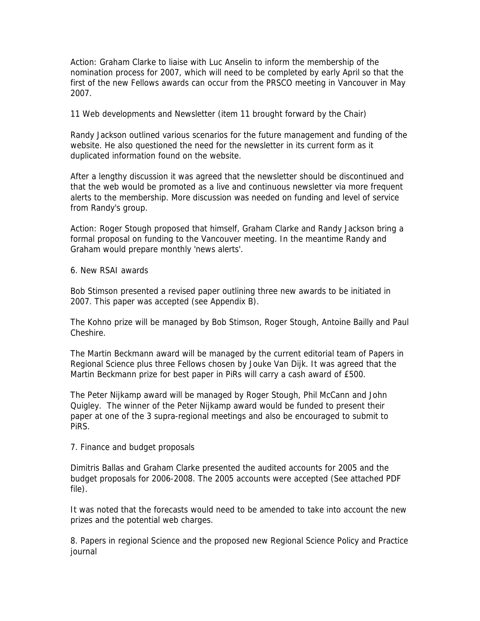Action: Graham Clarke to liaise with Luc Anselin to inform the membership of the nomination process for 2007, which will need to be completed by early April so that the first of the new Fellows awards can occur from the PRSCO meeting in Vancouver in May 2007.

11 Web developments and Newsletter (item 11 brought forward by the Chair)

Randy Jackson outlined various scenarios for the future management and funding of the website. He also questioned the need for the newsletter in its current form as it duplicated information found on the website.

After a lengthy discussion it was agreed that the newsletter should be discontinued and that the web would be promoted as a live and continuous newsletter via more frequent alerts to the membership. More discussion was needed on funding and level of service from Randy's group.

Action: Roger Stough proposed that himself, Graham Clarke and Randy Jackson bring a formal proposal on funding to the Vancouver meeting. In the meantime Randy and Graham would prepare monthly 'news alerts'.

6. New RSAI awards

Bob Stimson presented a revised paper outlining three new awards to be initiated in 2007. This paper was accepted (see Appendix B).

The Kohno prize will be managed by Bob Stimson, Roger Stough, Antoine Bailly and Paul Cheshire.

The Martin Beckmann award will be managed by the current editorial team of Papers in Regional Science plus three Fellows chosen by Jouke Van Dijk. It was agreed that the Martin Beckmann prize for best paper in PiRs will carry a cash award of £500.

The Peter Nijkamp award will be managed by Roger Stough, Phil McCann and John Quigley. The winner of the Peter Nijkamp award would be funded to present their paper at one of the 3 supra-regional meetings and also be encouraged to submit to PiRS.

7. Finance and budget proposals

Dimitris Ballas and Graham Clarke presented the audited accounts for 2005 and the budget proposals for 2006-2008. The 2005 accounts were accepted (See attached PDF file).

It was noted that the forecasts would need to be amended to take into account the new prizes and the potential web charges.

8. Papers in regional Science and the proposed new Regional Science Policy and Practice journal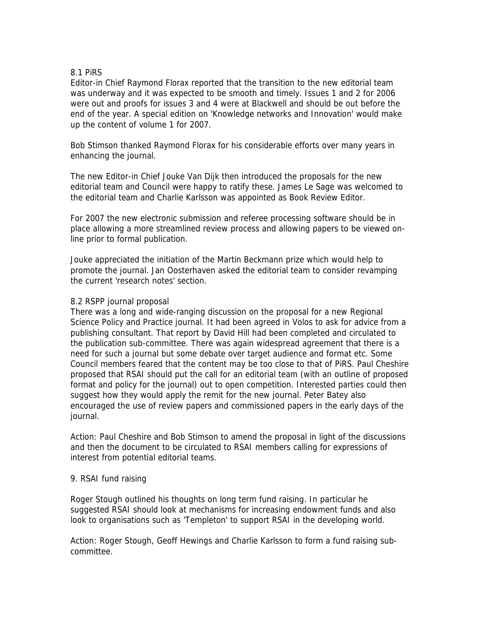## 8.1 PiRS

Editor-in Chief Raymond Florax reported that the transition to the new editorial team was underway and it was expected to be smooth and timely. Issues 1 and 2 for 2006 were out and proofs for issues 3 and 4 were at Blackwell and should be out before the end of the year. A special edition on 'Knowledge networks and Innovation' would make up the content of volume 1 for 2007.

Bob Stimson thanked Raymond Florax for his considerable efforts over many years in enhancing the journal.

The new Editor-in Chief Jouke Van Dijk then introduced the proposals for the new editorial team and Council were happy to ratify these. James Le Sage was welcomed to the editorial team and Charlie Karlsson was appointed as Book Review Editor.

For 2007 the new electronic submission and referee processing software should be in place allowing a more streamlined review process and allowing papers to be viewed online prior to formal publication.

Jouke appreciated the initiation of the Martin Beckmann prize which would help to promote the journal. Jan Oosterhaven asked the editorial team to consider revamping the current 'research notes' section.

## 8.2 RSPP journal proposal

There was a long and wide-ranging discussion on the proposal for a new Regional Science Policy and Practice journal. It had been agreed in Volos to ask for advice from a publishing consultant. That report by David Hill had been completed and circulated to the publication sub-committee. There was again widespread agreement that there is a need for such a journal but some debate over target audience and format etc. Some Council members feared that the content may be too close to that of PiRS. Paul Cheshire proposed that RSAI should put the call for an editorial team (with an outline of proposed format and policy for the journal) out to open competition. Interested parties could then suggest how they would apply the remit for the new journal. Peter Batey also encouraged the use of review papers and commissioned papers in the early days of the journal.

Action: Paul Cheshire and Bob Stimson to amend the proposal in light of the discussions and then the document to be circulated to RSAI members calling for expressions of interest from potential editorial teams.

#### 9. RSAI fund raising

Roger Stough outlined his thoughts on long term fund raising. In particular he suggested RSAI should look at mechanisms for increasing endowment funds and also look to organisations such as 'Templeton' to support RSAI in the developing world.

Action: Roger Stough, Geoff Hewings and Charlie Karlsson to form a fund raising subcommittee.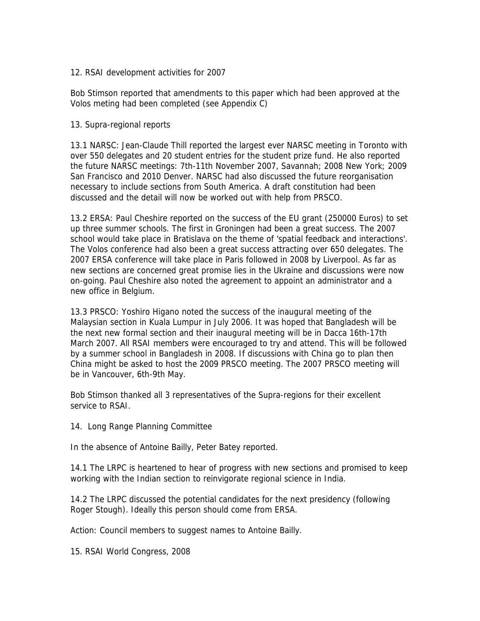## 12. RSAI development activities for 2007

Bob Stimson reported that amendments to this paper which had been approved at the Volos meting had been completed (see Appendix C)

## 13. Supra-regional reports

13.1 NARSC: Jean-Claude Thill reported the largest ever NARSC meeting in Toronto with over 550 delegates and 20 student entries for the student prize fund. He also reported the future NARSC meetings: 7th-11th November 2007, Savannah; 2008 New York; 2009 San Francisco and 2010 Denver. NARSC had also discussed the future reorganisation necessary to include sections from South America. A draft constitution had been discussed and the detail will now be worked out with help from PRSCO.

13.2 ERSA: Paul Cheshire reported on the success of the EU grant (250000 Euros) to set up three summer schools. The first in Groningen had been a great success. The 2007 school would take place in Bratislava on the theme of 'spatial feedback and interactions'. The Volos conference had also been a great success attracting over 650 delegates. The 2007 ERSA conference will take place in Paris followed in 2008 by Liverpool. As far as new sections are concerned great promise lies in the Ukraine and discussions were now on-going. Paul Cheshire also noted the agreement to appoint an administrator and a new office in Belgium.

13.3 PRSCO: Yoshiro Higano noted the success of the inaugural meeting of the Malaysian section in Kuala Lumpur in July 2006. It was hoped that Bangladesh will be the next new formal section and their inaugural meeting will be in Dacca 16th-17th March 2007. All RSAI members were encouraged to try and attend. This will be followed by a summer school in Bangladesh in 2008. If discussions with China go to plan then China might be asked to host the 2009 PRSCO meeting. The 2007 PRSCO meeting will be in Vancouver, 6th-9th May.

Bob Stimson thanked all 3 representatives of the Supra-regions for their excellent service to RSAI.

14. Long Range Planning Committee

In the absence of Antoine Bailly, Peter Batey reported.

14.1 The LRPC is heartened to hear of progress with new sections and promised to keep working with the Indian section to reinvigorate regional science in India.

14.2 The LRPC discussed the potential candidates for the next presidency (following Roger Stough). Ideally this person should come from ERSA.

Action: Council members to suggest names to Antoine Bailly.

15. RSAI World Congress, 2008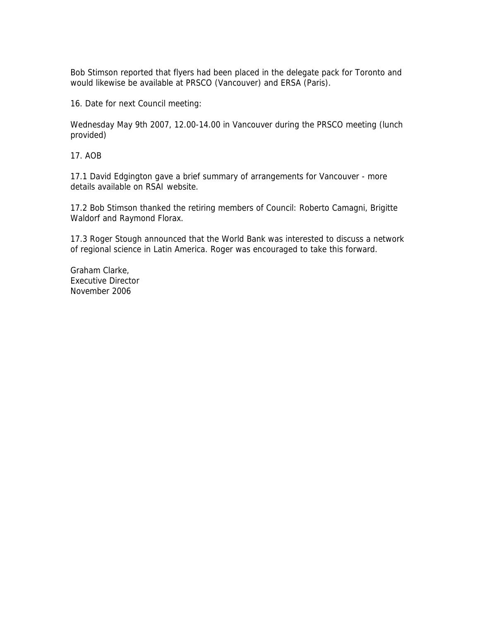Bob Stimson reported that flyers had been placed in the delegate pack for Toronto and would likewise be available at PRSCO (Vancouver) and ERSA (Paris).

16. Date for next Council meeting:

Wednesday May 9th 2007, 12.00-14.00 in Vancouver during the PRSCO meeting (lunch provided)

17. AOB

17.1 David Edgington gave a brief summary of arrangements for Vancouver - more details available on RSAI website.

17.2 Bob Stimson thanked the retiring members of Council: Roberto Camagni, Brigitte Waldorf and Raymond Florax.

17.3 Roger Stough announced that the World Bank was interested to discuss a network of regional science in Latin America. Roger was encouraged to take this forward.

Graham Clarke, Executive Director November 2006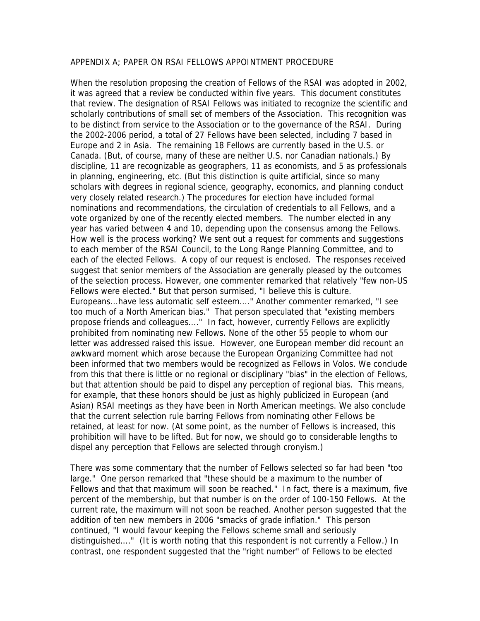#### APPENDIX A; PAPER ON RSAI FELLOWS APPOINTMENT PROCEDURE

When the resolution proposing the creation of Fellows of the RSAI was adopted in 2002, it was agreed that a review be conducted within five years. This document constitutes that review. The designation of RSAI Fellows was initiated to recognize the scientific and scholarly contributions of small set of members of the Association. This recognition was to be distinct from service to the Association or to the governance of the RSAI. During the 2002-2006 period, a total of 27 Fellows have been selected, including 7 based in Europe and 2 in Asia. The remaining 18 Fellows are currently based in the U.S. or Canada. (But, of course, many of these are neither U.S. nor Canadian nationals.) By discipline, 11 are recognizable as geographers, 11 as economists, and 5 as professionals in planning, engineering, etc. (But this distinction is quite artificial, since so many scholars with degrees in regional science, geography, economics, and planning conduct very closely related research.) The procedures for election have included formal nominations and recommendations, the circulation of credentials to all Fellows, and a vote organized by one of the recently elected members. The number elected in any year has varied between 4 and 10, depending upon the consensus among the Fellows. How well is the process working? We sent out a request for comments and suggestions to each member of the RSAI Council, to the Long Range Planning Committee, and to each of the elected Fellows. A copy of our request is enclosed. The responses received suggest that senior members of the Association are generally pleased by the outcomes of the selection process. However, one commenter remarked that relatively "few non-US Fellows were elected." But that person surmised, "I believe this is culture. Europeans...have less automatic self esteem...." Another commenter remarked, "I see too much of a North American bias." That person speculated that "existing members propose friends and colleagues...." In fact, however, currently Fellows are explicitly prohibited from nominating new Fellows. None of the other 55 people to whom our letter was addressed raised this issue. However, one European member did recount an awkward moment which arose because the European Organizing Committee had not been informed that two members would be recognized as Fellows in Volos. We conclude from this that there is little or no regional or disciplinary "bias" in the election of Fellows, but that attention should be paid to dispel any perception of regional bias. This means, for example, that these honors should be just as highly publicized in European (and Asian) RSAI meetings as they have been in North American meetings. We also conclude that the current selection rule barring Fellows from nominating other Fellows be retained, at least for now. (At some point, as the number of Fellows is increased, this prohibition will have to be lifted. But for now, we should go to considerable lengths to dispel any perception that Fellows are selected through cronyism.)

There was some commentary that the number of Fellows selected so far had been "too large." One person remarked that "these should be a maximum to the number of Fellows and that that maximum will soon be reached." In fact, there is a maximum, five percent of the membership, but that number is on the order of 100-150 Fellows. At the current rate, the maximum will not soon be reached. Another person suggested that the addition of ten new members in 2006 "smacks of grade inflation." This person continued, "I would favour keeping the Fellows scheme small and seriously distinguished...." (It is worth noting that this respondent is not currently a Fellow.) In contrast, one respondent suggested that the "right number" of Fellows to be elected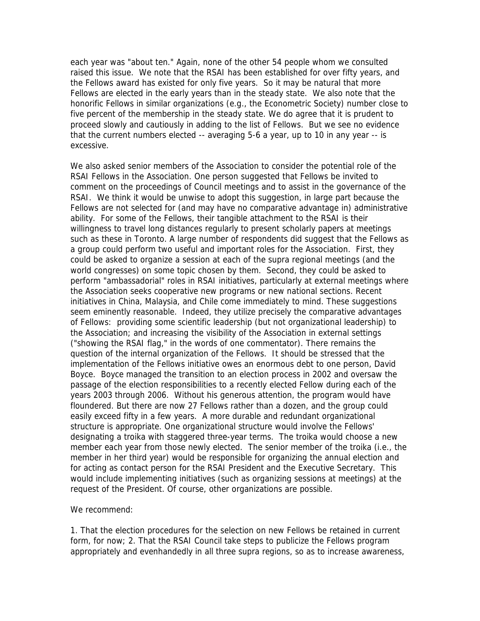each year was "about ten." Again, none of the other 54 people whom we consulted raised this issue. We note that the RSAI has been established for over fifty years, and the Fellows award has existed for only five years. So it may be natural that more Fellows are elected in the early years than in the steady state. We also note that the honorific Fellows in similar organizations (e.g., the Econometric Society) number close to five percent of the membership in the steady state. We do agree that it is prudent to proceed slowly and cautiously in adding to the list of Fellows. But we see no evidence that the current numbers elected -- averaging 5-6 a year, up to 10 in any year -- is excessive.

We also asked senior members of the Association to consider the potential role of the RSAI Fellows in the Association. One person suggested that Fellows be invited to comment on the proceedings of Council meetings and to assist in the governance of the RSAI. We think it would be unwise to adopt this suggestion, in large part because the Fellows are not selected for (and may have no comparative advantage in) administrative ability. For some of the Fellows, their tangible attachment to the RSAI is their willingness to travel long distances regularly to present scholarly papers at meetings such as these in Toronto. A large number of respondents did suggest that the Fellows as a group could perform two useful and important roles for the Association. First, they could be asked to organize a session at each of the supra regional meetings (and the world congresses) on some topic chosen by them. Second, they could be asked to perform "ambassadorial" roles in RSAI initiatives, particularly at external meetings where the Association seeks cooperative new programs or new national sections. Recent initiatives in China, Malaysia, and Chile come immediately to mind. These suggestions seem eminently reasonable. Indeed, they utilize precisely the comparative advantages of Fellows: providing some scientific leadership (but not organizational leadership) to the Association; and increasing the visibility of the Association in external settings ("showing the RSAI flag," in the words of one commentator). There remains the question of the internal organization of the Fellows. It should be stressed that the implementation of the Fellows initiative owes an enormous debt to one person, David Boyce. Boyce managed the transition to an election process in 2002 and oversaw the passage of the election responsibilities to a recently elected Fellow during each of the years 2003 through 2006. Without his generous attention, the program would have floundered. But there are now 27 Fellows rather than a dozen, and the group could easily exceed fifty in a few years. A more durable and redundant organizational structure is appropriate. One organizational structure would involve the Fellows' designating a troika with staggered three-year terms. The troika would choose a new member each year from those newly elected. The senior member of the troika (i.e., the member in her third year) would be responsible for organizing the annual election and for acting as contact person for the RSAI President and the Executive Secretary. This would include implementing initiatives (such as organizing sessions at meetings) at the request of the President. Of course, other organizations are possible.

#### We recommend:

1. That the election procedures for the selection on new Fellows be retained in current form, for now; 2. That the RSAI Council take steps to publicize the Fellows program appropriately and evenhandedly in all three supra regions, so as to increase awareness,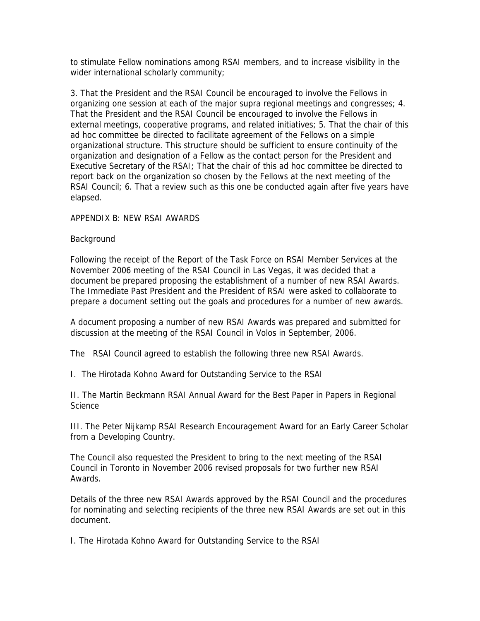to stimulate Fellow nominations among RSAI members, and to increase visibility in the wider international scholarly community;

3. That the President and the RSAI Council be encouraged to involve the Fellows in organizing one session at each of the major supra regional meetings and congresses; 4. That the President and the RSAI Council be encouraged to involve the Fellows in external meetings, cooperative programs, and related initiatives; 5. That the chair of this ad hoc committee be directed to facilitate agreement of the Fellows on a simple organizational structure. This structure should be sufficient to ensure continuity of the organization and designation of a Fellow as the contact person for the President and Executive Secretary of the RSAI; That the chair of this ad hoc committee be directed to report back on the organization so chosen by the Fellows at the next meeting of the RSAI Council; 6. That a review such as this one be conducted again after five years have elapsed.

## APPENDIX B: NEW RSAI AWARDS

## Background

Following the receipt of the Report of the Task Force on RSAI Member Services at the November 2006 meeting of the RSAI Council in Las Vegas, it was decided that a document be prepared proposing the establishment of a number of new RSAI Awards. The Immediate Past President and the President of RSAI were asked to collaborate to prepare a document setting out the goals and procedures for a number of new awards.

A document proposing a number of new RSAI Awards was prepared and submitted for discussion at the meeting of the RSAI Council in Volos in September, 2006.

The RSAI Council agreed to establish the following three new RSAI Awards.

I. The Hirotada Kohno Award for Outstanding Service to the RSAI

II. The Martin Beckmann RSAI Annual Award for the Best Paper in Papers in Regional Science

III. The Peter Nijkamp RSAI Research Encouragement Award for an Early Career Scholar from a Developing Country.

The Council also requested the President to bring to the next meeting of the RSAI Council in Toronto in November 2006 revised proposals for two further new RSAI Awards.

Details of the three new RSAI Awards approved by the RSAI Council and the procedures for nominating and selecting recipients of the three new RSAI Awards are set out in this document.

I. The Hirotada Kohno Award for Outstanding Service to the RSAI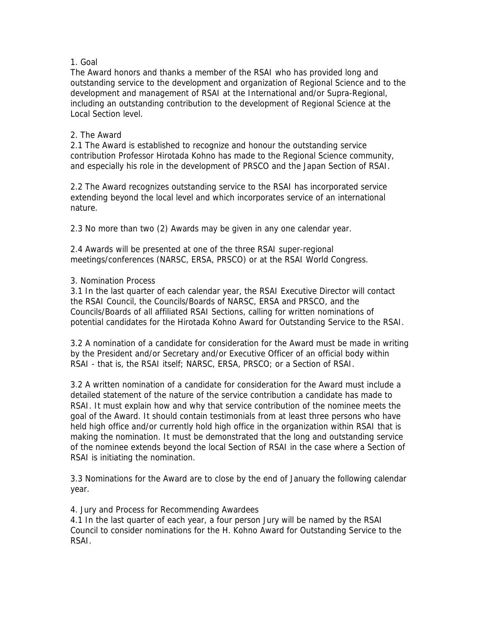# 1. Goal

The Award honors and thanks a member of the RSAI who has provided long and outstanding service to the development and organization of Regional Science and to the development and management of RSAI at the International and/or Supra-Regional, including an outstanding contribution to the development of Regional Science at the Local Section level.

# 2. The Award

2.1 The Award is established to recognize and honour the outstanding service contribution Professor Hirotada Kohno has made to the Regional Science community, and especially his role in the development of PRSCO and the Japan Section of RSAI.

2.2 The Award recognizes outstanding service to the RSAI has incorporated service extending beyond the local level and which incorporates service of an international nature.

2.3 No more than two (2) Awards may be given in any one calendar year.

2.4 Awards will be presented at one of the three RSAI super-regional meetings/conferences (NARSC, ERSA, PRSCO) or at the RSAI World Congress.

# 3. Nomination Process

3.1 In the last quarter of each calendar year, the RSAI Executive Director will contact the RSAI Council, the Councils/Boards of NARSC, ERSA and PRSCO, and the Councils/Boards of all affiliated RSAI Sections, calling for written nominations of potential candidates for the Hirotada Kohno Award for Outstanding Service to the RSAI.

3.2 A nomination of a candidate for consideration for the Award must be made in writing by the President and/or Secretary and/or Executive Officer of an official body within RSAI - that is, the RSAI itself; NARSC, ERSA, PRSCO; or a Section of RSAI.

3.2 A written nomination of a candidate for consideration for the Award must include a detailed statement of the nature of the service contribution a candidate has made to RSAI. It must explain how and why that service contribution of the nominee meets the goal of the Award. It should contain testimonials from at least three persons who have held high office and/or currently hold high office in the organization within RSAI that is making the nomination. It must be demonstrated that the long and outstanding service of the nominee extends beyond the local Section of RSAI in the case where a Section of RSAI is initiating the nomination.

3.3 Nominations for the Award are to close by the end of January the following calendar year.

4. Jury and Process for Recommending Awardees

4.1 In the last quarter of each year, a four person Jury will be named by the RSAI Council to consider nominations for the H. Kohno Award for Outstanding Service to the RSAI.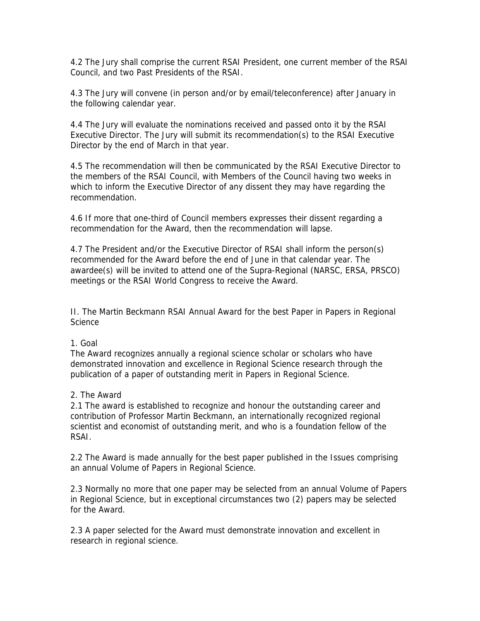4.2 The Jury shall comprise the current RSAI President, one current member of the RSAI Council, and two Past Presidents of the RSAI.

4.3 The Jury will convene (in person and/or by email/teleconference) after January in the following calendar year.

4.4 The Jury will evaluate the nominations received and passed onto it by the RSAI Executive Director. The Jury will submit its recommendation(s) to the RSAI Executive Director by the end of March in that year.

4.5 The recommendation will then be communicated by the RSAI Executive Director to the members of the RSAI Council, with Members of the Council having two weeks in which to inform the Executive Director of any dissent they may have regarding the recommendation.

4.6 If more that one-third of Council members expresses their dissent regarding a recommendation for the Award, then the recommendation will lapse.

4.7 The President and/or the Executive Director of RSAI shall inform the person(s) recommended for the Award before the end of June in that calendar year. The awardee(s) will be invited to attend one of the Supra-Regional (NARSC, ERSA, PRSCO) meetings or the RSAI World Congress to receive the Award.

II. The Martin Beckmann RSAI Annual Award for the best Paper in Papers in Regional Science

#### 1. Goal

The Award recognizes annually a regional science scholar or scholars who have demonstrated innovation and excellence in Regional Science research through the publication of a paper of outstanding merit in Papers in Regional Science.

#### 2. The Award

2.1 The award is established to recognize and honour the outstanding career and contribution of Professor Martin Beckmann, an internationally recognized regional scientist and economist of outstanding merit, and who is a foundation fellow of the RSAI.

2.2 The Award is made annually for the best paper published in the Issues comprising an annual Volume of Papers in Regional Science.

2.3 Normally no more that one paper may be selected from an annual Volume of Papers in Regional Science, but in exceptional circumstances two (2) papers may be selected for the Award.

2.3 A paper selected for the Award must demonstrate innovation and excellent in research in regional science.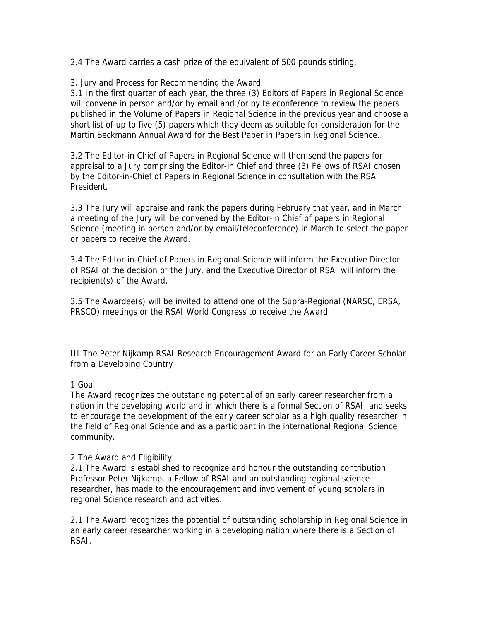2.4 The Award carries a cash prize of the equivalent of 500 pounds stirling.

# 3. Jury and Process for Recommending the Award

3.1 In the first quarter of each year, the three (3) Editors of Papers in Regional Science will convene in person and/or by email and /or by teleconference to review the papers published in the Volume of Papers in Regional Science in the previous year and choose a short list of up to five (5) papers which they deem as suitable for consideration for the Martin Beckmann Annual Award for the Best Paper in Papers in Regional Science.

3.2 The Editor-in Chief of Papers in Regional Science will then send the papers for appraisal to a Jury comprising the Editor-in Chief and three (3) Fellows of RSAI chosen by the Editor-in-Chief of Papers in Regional Science in consultation with the RSAI President.

3.3 The Jury will appraise and rank the papers during February that year, and in March a meeting of the Jury will be convened by the Editor-in Chief of papers in Regional Science (meeting in person and/or by email/teleconference) in March to select the paper or papers to receive the Award.

3.4 The Editor-in-Chief of Papers in Regional Science will inform the Executive Director of RSAI of the decision of the Jury, and the Executive Director of RSAI will inform the recipient(s) of the Award.

3.5 The Awardee(s) will be invited to attend one of the Supra-Regional (NARSC, ERSA, PRSCO) meetings or the RSAI World Congress to receive the Award.

III The Peter Nijkamp RSAI Research Encouragement Award for an Early Career Scholar from a Developing Country

## 1 Goal

The Award recognizes the outstanding potential of an early career researcher from a nation in the developing world and in which there is a formal Section of RSAI, and seeks to encourage the development of the early career scholar as a high quality researcher in the field of Regional Science and as a participant in the international Regional Science community.

## 2 The Award and Eligibility

2.1 The Award is established to recognize and honour the outstanding contribution Professor Peter Nijkamp, a Fellow of RSAI and an outstanding regional science researcher, has made to the encouragement and involvement of young scholars in regional Science research and activities.

2.1 The Award recognizes the potential of outstanding scholarship in Regional Science in an early career researcher working in a developing nation where there is a Section of RSAI.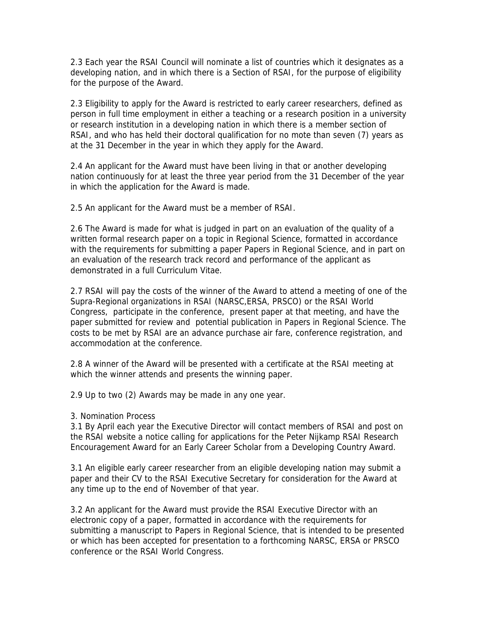2.3 Each year the RSAI Council will nominate a list of countries which it designates as a developing nation, and in which there is a Section of RSAI, for the purpose of eligibility for the purpose of the Award.

2.3 Eligibility to apply for the Award is restricted to early career researchers, defined as person in full time employment in either a teaching or a research position in a university or research institution in a developing nation in which there is a member section of RSAI, and who has held their doctoral qualification for no mote than seven (7) years as at the 31 December in the year in which they apply for the Award.

2.4 An applicant for the Award must have been living in that or another developing nation continuously for at least the three year period from the 31 December of the year in which the application for the Award is made.

2.5 An applicant for the Award must be a member of RSAI.

2.6 The Award is made for what is judged in part on an evaluation of the quality of a written formal research paper on a topic in Regional Science, formatted in accordance with the requirements for submitting a paper Papers in Regional Science, and in part on an evaluation of the research track record and performance of the applicant as demonstrated in a full Curriculum Vitae.

2.7 RSAI will pay the costs of the winner of the Award to attend a meeting of one of the Supra-Regional organizations in RSAI (NARSC,ERSA, PRSCO) or the RSAI World Congress, participate in the conference, present paper at that meeting, and have the paper submitted for review and potential publication in Papers in Regional Science. The costs to be met by RSAI are an advance purchase air fare, conference registration, and accommodation at the conference.

2.8 A winner of the Award will be presented with a certificate at the RSAI meeting at which the winner attends and presents the winning paper.

2.9 Up to two (2) Awards may be made in any one year.

3. Nomination Process

3.1 By April each year the Executive Director will contact members of RSAI and post on the RSAI website a notice calling for applications for the Peter Nijkamp RSAI Research Encouragement Award for an Early Career Scholar from a Developing Country Award.

3.1 An eligible early career researcher from an eligible developing nation may submit a paper and their CV to the RSAI Executive Secretary for consideration for the Award at any time up to the end of November of that year.

3.2 An applicant for the Award must provide the RSAI Executive Director with an electronic copy of a paper, formatted in accordance with the requirements for submitting a manuscript to Papers in Regional Science, that is intended to be presented or which has been accepted for presentation to a forthcoming NARSC, ERSA or PRSCO conference or the RSAI World Congress.